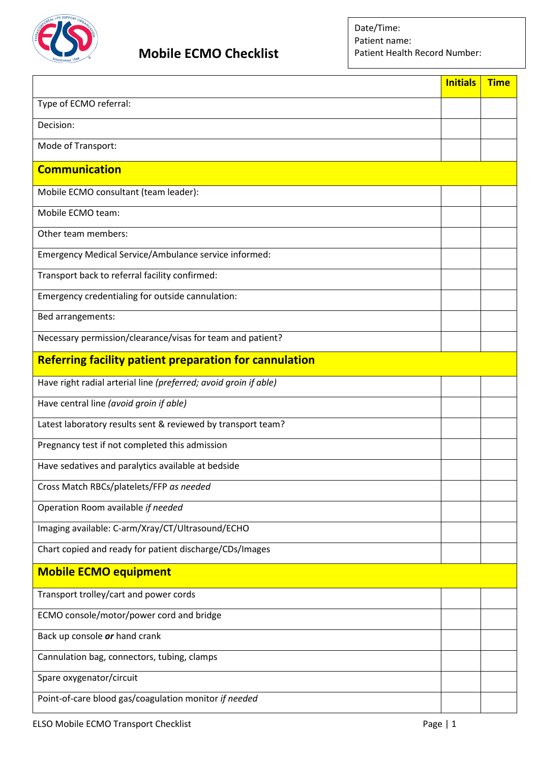

## **Mobile ECMO Checklist**

|                                                                  | <b>Initials</b> | <b>Time</b> |
|------------------------------------------------------------------|-----------------|-------------|
| Type of ECMO referral:                                           |                 |             |
| Decision:                                                        |                 |             |
| Mode of Transport:                                               |                 |             |
| <b>Communication</b>                                             |                 |             |
| Mobile ECMO consultant (team leader):                            |                 |             |
| Mobile ECMO team:                                                |                 |             |
| Other team members:                                              |                 |             |
| Emergency Medical Service/Ambulance service informed:            |                 |             |
| Transport back to referral facility confirmed:                   |                 |             |
| Emergency credentialing for outside cannulation:                 |                 |             |
| Bed arrangements:                                                |                 |             |
| Necessary permission/clearance/visas for team and patient?       |                 |             |
| <b>Referring facility patient preparation for cannulation</b>    |                 |             |
| Have right radial arterial line (preferred; avoid groin if able) |                 |             |
| Have central line (avoid groin if able)                          |                 |             |
| Latest laboratory results sent & reviewed by transport team?     |                 |             |
| Pregnancy test if not completed this admission                   |                 |             |
| Have sedatives and paralytics available at bedside               |                 |             |
| Cross Match RBCs/platelets/FFP as needed                         |                 |             |
| Operation Room available if needed                               |                 |             |
| Imaging available: C-arm/Xray/CT/Ultrasound/ECHO                 |                 |             |
| Chart copied and ready for patient discharge/CDs/Images          |                 |             |
| <b>Mobile ECMO equipment</b>                                     |                 |             |
| Transport trolley/cart and power cords                           |                 |             |
| ECMO console/motor/power cord and bridge                         |                 |             |
| Back up console or hand crank                                    |                 |             |
| Cannulation bag, connectors, tubing, clamps                      |                 |             |
| Spare oxygenator/circuit                                         |                 |             |
| Point-of-care blood gas/coagulation monitor if needed            |                 |             |